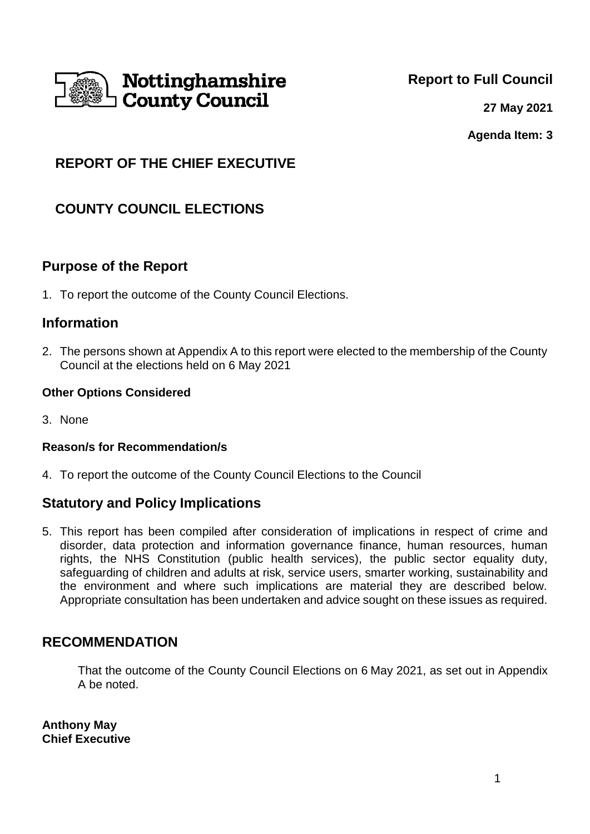

**Report to Full Council**

**27 May 2021**

**Agenda Item: 3**

# **REPORT OF THE CHIEF EXECUTIVE**

# **COUNTY COUNCIL ELECTIONS**

## **Purpose of the Report**

1. To report the outcome of the County Council Elections.

### **Information**

2. The persons shown at Appendix A to this report were elected to the membership of the County Council at the elections held on 6 May 2021

#### **Other Options Considered**

3. None

#### **Reason/s for Recommendation/s**

4. To report the outcome of the County Council Elections to the Council

## **Statutory and Policy Implications**

5. This report has been compiled after consideration of implications in respect of crime and disorder, data protection and information governance finance, human resources, human rights, the NHS Constitution (public health services), the public sector equality duty, safeguarding of children and adults at risk, service users, smarter working, sustainability and the environment and where such implications are material they are described below. Appropriate consultation has been undertaken and advice sought on these issues as required.

## **RECOMMENDATION**

That the outcome of the County Council Elections on 6 May 2021, as set out in Appendix A be noted.

**Anthony May Chief Executive**